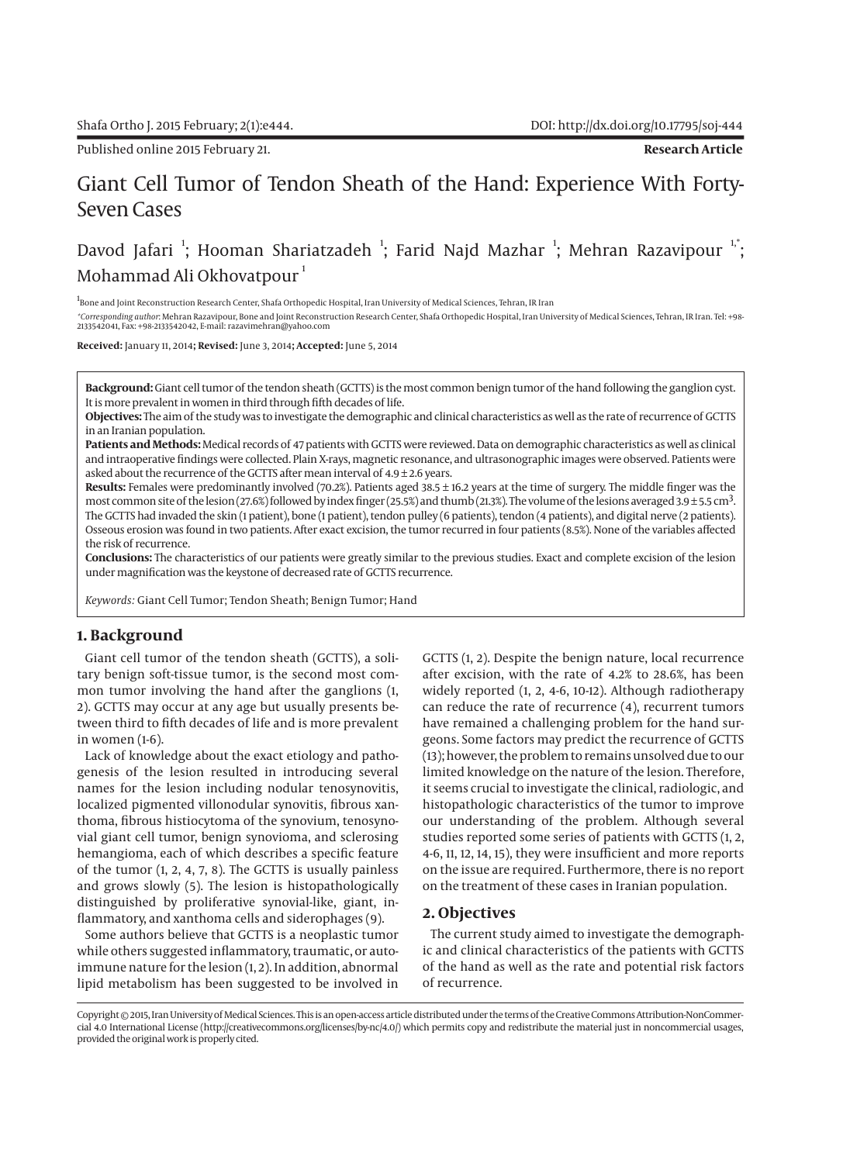# Giant Cell Tumor of Tendon Sheath of the Hand: Experience With Forty-Seven Cases

# Davod Jafari  $^{\textrm{i}}$ ; Hooman Shariatzadeh  $^{\textrm{i}}$ ; Farid Najd Mazhar  $^{\textrm{i}}$ ; Mehran Razavipour  $^{\textrm{i,*}}$ ; Mohammad Ali Okhovatpour<sup>1</sup>

1<br>Bone and Joint Reconstruction Research Center, Shafa Orthopedic Hospital, Iran University of Medical Sciences, Tehran, IR Iran

*\*Corresponding author*: Mehran Razavipour, Bone and Joint Reconstruction Research Center, Shafa Orthopedic Hospital, Iran University of Medical Sciences, Tehran, IR Iran. Tel: +98- 2133542041, Fax: +98-2133542042, E-mail: razavimehran@yahoo.com

**Received:** January 11, 2014**; Revised:** June 3, 2014**; Accepted:** June 5, 2014

**Background:** Giant cell tumor of the tendon sheath (GCTTS) is the most common benign tumor of the hand following the ganglion cyst. It is more prevalent in women in third through fifth decades of life.

**Objectives:** The aim of the study was to investigate the demographic and clinical characteristics as well as the rate of recurrence of GCTTS in an Iranian population.

**Patients and Methods:** Medical records of 47 patients with GCTTS were reviewed. Data on demographic characteristics as well as clinical and intraoperative findings were collected. Plain X-rays, magnetic resonance, and ultrasonographic images were observed. Patients were asked about the recurrence of the GCTTS after mean interval of  $4.9 \pm 2.6$  years.

**Results:** Females were predominantly involved (70.2%). Patients aged 38.5 ± 16.2 years at the time of surgery. The middle finger was the most common site of the lesion (27.6%) followed by index finger (25.5%) and thumb (21.3%). The volume of the lesions averaged 3.9 ± 5.5 cm<sup>3</sup>. The GCTTS had invaded the skin (1 patient), bone (1 patient), tendon pulley (6 patients), tendon (4 patients), and digital nerve (2 patients). Osseous erosion was found in two patients. After exact excision, the tumor recurred in four patients (8.5%). None of the variables affected the risk of recurrence.

**Conclusions:** The characteristics of our patients were greatly similar to the previous studies. Exact and complete excision of the lesion under magnification was the keystone of decreased rate of GCTTS recurrence.

*Keywords:* Giant Cell Tumor; Tendon Sheath; Benign Tumor; Hand

### **1. Background**

Giant cell tumor of the tendon sheath (GCTTS), a solitary benign soft-tissue tumor, is the second most common tumor involving the hand after the ganglions (1, 2). GCTTS may occur at any age but usually presents between third to fifth decades of life and is more prevalent in women (1-6).

Lack of knowledge about the exact etiology and pathogenesis of the lesion resulted in introducing several names for the lesion including nodular tenosynovitis, localized pigmented villonodular synovitis, fibrous xanthoma, fibrous histiocytoma of the synovium, tenosynovial giant cell tumor, benign synovioma, and sclerosing hemangioma, each of which describes a specific feature of the tumor (1, 2, 4, 7, 8). The GCTTS is usually painless and grows slowly (5). The lesion is histopathologically distinguished by proliferative synovial-like, giant, inflammatory, and xanthoma cells and siderophages (9).

Some authors believe that GCTTS is a neoplastic tumor while others suggested inflammatory, traumatic, or autoimmune nature for the lesion (1, 2). In addition, abnormal lipid metabolism has been suggested to be involved in

GCTTS (1, 2). Despite the benign nature, local recurrence after excision, with the rate of 4.2% to 28.6%, has been widely reported (1, 2, 4-6, 10-12). Although radiotherapy can reduce the rate of recurrence (4), recurrent tumors have remained a challenging problem for the hand surgeons. Some factors may predict the recurrence of GCTTS (13); however, the problem to remains unsolved due to our limited knowledge on the nature of the lesion. Therefore, it seems crucial to investigate the clinical, radiologic, and histopathologic characteristics of the tumor to improve our understanding of the problem. Although several studies reported some series of patients with GCTTS (1, 2, 4-6, 11, 12, 14, 15), they were insufficient and more reports on the issue are required. Furthermore, there is no report on the treatment of these cases in Iranian population.

#### **2. Objectives**

The current study aimed to investigate the demographic and clinical characteristics of the patients with GCTTS of the hand as well as the rate and potential risk factors of recurrence.

Copyright © 2015, Iran University of Medical Sciences. This is an open-access article distributed under the terms of the Creative Commons Attribution-NonCommercial 4.0 International License (http://creativecommons.org/licenses/by-nc/4.0/) which permits copy and redistribute the material just in noncommercial usages, provided the original work is properly cited.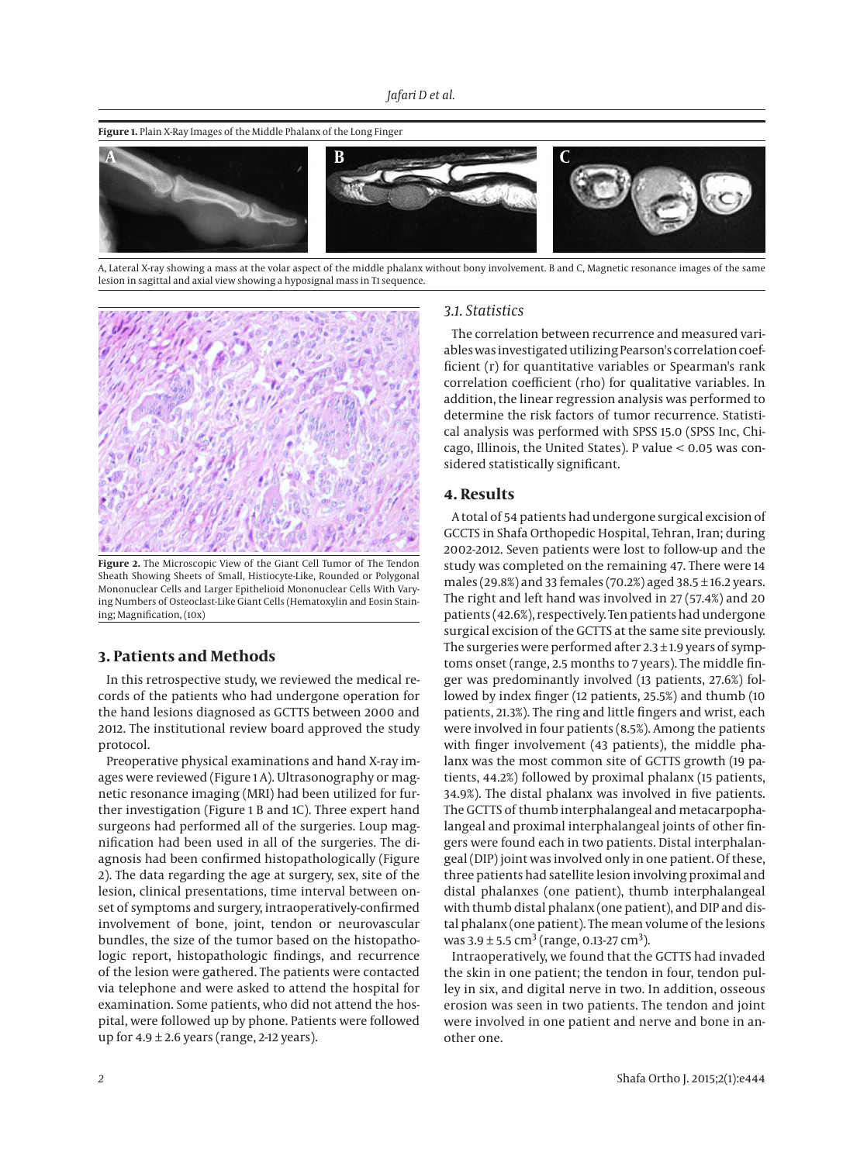#### **Figure 1.** Plain X-Ray Images of the Middle Phalanx of the Long Finger



A, Lateral X-ray showing a mass at the volar aspect of the middle phalanx without bony involvement. B and C, Magnetic resonance images of the same lesion in sagittal and axial view showing a hyposignal mass in T1 sequence.



**Figure 2.** The Microscopic View of the Giant Cell Tumor of The Tendon Sheath Showing Sheets of Small, Histiocyte-Like, Rounded or Polygonal Mononuclear Cells and Larger Epithelioid Mononuclear Cells With Varying Numbers of Osteoclast-Like Giant Cells (Hematoxylin and Eosin Staining; Magnification, (10x)

## **3. Patients and Methods**

In this retrospective study, we reviewed the medical records of the patients who had undergone operation for the hand lesions diagnosed as GCTTS between 2000 and 2012. The institutional review board approved the study protocol.

Preoperative physical examinations and hand X-ray images were reviewed (Figure 1 A). Ultrasonography or magnetic resonance imaging (MRI) had been utilized for further investigation (Figure 1 B and 1C). Three expert hand surgeons had performed all of the surgeries. Loup magnification had been used in all of the surgeries. The diagnosis had been confirmed histopathologically (Figure 2). The data regarding the age at surgery, sex, site of the lesion, clinical presentations, time interval between onset of symptoms and surgery, intraoperatively-confirmed involvement of bone, joint, tendon or neurovascular bundles, the size of the tumor based on the histopathologic report, histopathologic findings, and recurrence of the lesion were gathered. The patients were contacted via telephone and were asked to attend the hospital for examination. Some patients, who did not attend the hospital, were followed up by phone. Patients were followed up for  $4.9 \pm 2.6$  years (range, 2-12 years).

### *3.1. Statistics*

The correlation between recurrence and measured variables was investigated utilizing Pearson's correlation coefficient (r) for quantitative variables or Spearman's rank correlation coefficient (rho) for qualitative variables. In addition, the linear regression analysis was performed to determine the risk factors of tumor recurrence. Statistical analysis was performed with SPSS 15.0 (SPSS Inc, Chicago, Illinois, the United States). P value < 0.05 was considered statistically significant.

#### **4. Results**

A total of 54 patients had undergone surgical excision of GCCTS in Shafa Orthopedic Hospital, Tehran, Iran; during 2002-2012. Seven patients were lost to follow-up and the study was completed on the remaining 47. There were 14 males (29.8%) and 33 females (70.2%) aged 38.5 ± 16.2 years. The right and left hand was involved in 27 (57.4%) and 20 patients (42.6%), respectively. Ten patients had undergone surgical excision of the GCTTS at the same site previously. The surgeries were performed after  $2.3 \pm 1.9$  years of symptoms onset (range, 2.5 months to 7 years). The middle finger was predominantly involved (13 patients, 27.6%) followed by index finger (12 patients, 25.5%) and thumb (10 patients, 21.3%). The ring and little fingers and wrist, each were involved in four patients (8.5%). Among the patients with finger involvement (43 patients), the middle phalanx was the most common site of GCTTS growth (19 patients, 44.2%) followed by proximal phalanx (15 patients, 34.9%). The distal phalanx was involved in five patients. The GCTTS of thumb interphalangeal and metacarpophalangeal and proximal interphalangeal joints of other fingers were found each in two patients. Distal interphalangeal (DIP) joint was involved only in one patient. Of these, three patients had satellite lesion involving proximal and distal phalanxes (one patient), thumb interphalangeal with thumb distal phalanx (one patient), and DIP and distal phalanx (one patient). The mean volume of the lesions was  $3.9 \pm 5.5$  cm<sup>3</sup> (range, 0.13-27 cm<sup>3</sup>).

Intraoperatively, we found that the GCTTS had invaded the skin in one patient; the tendon in four, tendon pulley in six, and digital nerve in two. In addition, osseous erosion was seen in two patients. The tendon and joint were involved in one patient and nerve and bone in another one.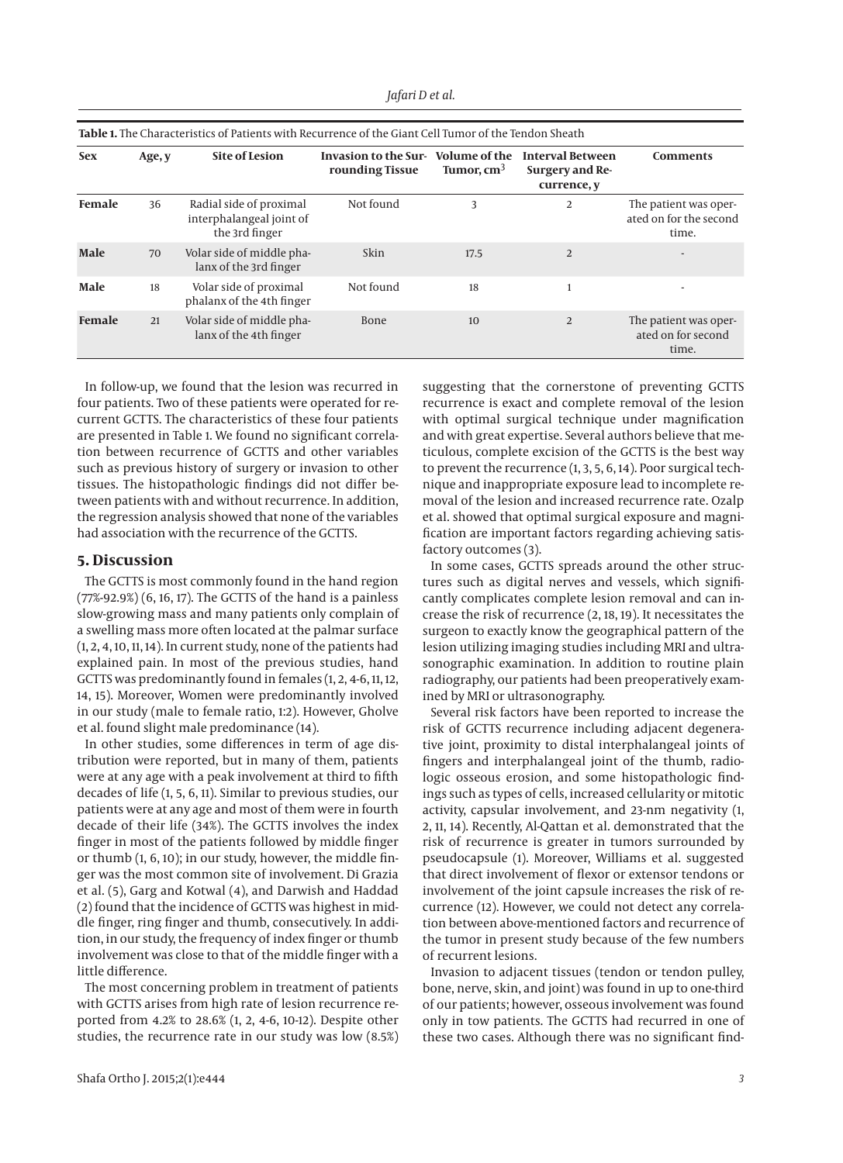| <b>Table 1.</b> The Characteristics of Patients with Recurrence of the Giant Cell Tumor of the Tendon Sheath |        |                                                                       |                                         |                               |                                                           |                                                          |
|--------------------------------------------------------------------------------------------------------------|--------|-----------------------------------------------------------------------|-----------------------------------------|-------------------------------|-----------------------------------------------------------|----------------------------------------------------------|
| <b>Sex</b>                                                                                                   | Age, y | <b>Site of Lesion</b>                                                 | Invasion to the Sur-<br>rounding Tissue | Volume of the<br>Tumor, $cm3$ | <b>Interval Between</b><br>Surgery and Re-<br>currence, y | <b>Comments</b>                                          |
| Female                                                                                                       | 36     | Radial side of proximal<br>interphalangeal joint of<br>the 3rd finger | Not found                               | 3                             | 2                                                         | The patient was oper-<br>ated on for the second<br>time. |
| Male                                                                                                         | 70     | Volar side of middle pha-<br>lanx of the 3rd finger                   | Skin                                    | 17.5                          | $\overline{2}$                                            |                                                          |
| Male                                                                                                         | 18     | Volar side of proximal<br>phalanx of the 4th finger                   | Not found                               | 18                            |                                                           |                                                          |
| Female                                                                                                       | 21     | Volar side of middle pha-<br>lanx of the 4th finger                   | <b>Bone</b>                             | 10                            | $\overline{2}$                                            | The patient was oper-<br>ated on for second<br>time.     |

In follow-up, we found that the lesion was recurred in four patients. Two of these patients were operated for recurrent GCTTS. The characteristics of these four patients are presented in Table 1. We found no significant correlation between recurrence of GCTTS and other variables such as previous history of surgery or invasion to other tissues. The histopathologic findings did not differ between patients with and without recurrence. In addition, the regression analysis showed that none of the variables had association with the recurrence of the GCTTS.

#### **5. Discussion**

The GCTTS is most commonly found in the hand region (77%-92.9%) (6, 16, 17). The GCTTS of the hand is a painless slow-growing mass and many patients only complain of a swelling mass more often located at the palmar surface (1, 2, 4, 10, 11, 14). In current study, none of the patients had explained pain. In most of the previous studies, hand GCTTS was predominantly found in females (1, 2, 4-6, 11, 12, 14, 15). Moreover, Women were predominantly involved in our study (male to female ratio, 1:2). However, Gholve et al. found slight male predominance (14).

In other studies, some differences in term of age distribution were reported, but in many of them, patients were at any age with a peak involvement at third to fifth decades of life (1, 5, 6, 11). Similar to previous studies, our patients were at any age and most of them were in fourth decade of their life (34%). The GCTTS involves the index finger in most of the patients followed by middle finger or thumb (1, 6, 10); in our study, however, the middle finger was the most common site of involvement. Di Grazia et al. (5), Garg and Kotwal (4), and Darwish and Haddad (2) found that the incidence of GCTTS was highest in middle finger, ring finger and thumb, consecutively. In addition, in our study, the frequency of index finger or thumb involvement was close to that of the middle finger with a little difference.

The most concerning problem in treatment of patients with GCTTS arises from high rate of lesion recurrence reported from 4.2% to 28.6% (1, 2, 4-6, 10-12). Despite other studies, the recurrence rate in our study was low (8.5%) suggesting that the cornerstone of preventing GCTTS recurrence is exact and complete removal of the lesion with optimal surgical technique under magnification and with great expertise. Several authors believe that meticulous, complete excision of the GCTTS is the best way to prevent the recurrence (1, 3, 5, 6, 14). Poor surgical technique and inappropriate exposure lead to incomplete removal of the lesion and increased recurrence rate. Ozalp et al. showed that optimal surgical exposure and magnification are important factors regarding achieving satisfactory outcomes (3).

In some cases, GCTTS spreads around the other structures such as digital nerves and vessels, which significantly complicates complete lesion removal and can increase the risk of recurrence (2, 18, 19). It necessitates the surgeon to exactly know the geographical pattern of the lesion utilizing imaging studies including MRI and ultrasonographic examination. In addition to routine plain radiography, our patients had been preoperatively examined by MRI or ultrasonography.

Several risk factors have been reported to increase the risk of GCTTS recurrence including adjacent degenerative joint, proximity to distal interphalangeal joints of fingers and interphalangeal joint of the thumb, radiologic osseous erosion, and some histopathologic findings such as types of cells, increased cellularity or mitotic activity, capsular involvement, and 23-nm negativity (1, 2, 11, 14). Recently, Al-Qattan et al. demonstrated that the risk of recurrence is greater in tumors surrounded by pseudocapsule (1). Moreover, Williams et al. suggested that direct involvement of flexor or extensor tendons or involvement of the joint capsule increases the risk of recurrence (12). However, we could not detect any correlation between above-mentioned factors and recurrence of the tumor in present study because of the few numbers of recurrent lesions.

Invasion to adjacent tissues (tendon or tendon pulley, bone, nerve, skin, and joint) was found in up to one-third of our patients; however, osseous involvement was found only in tow patients. The GCTTS had recurred in one of these two cases. Although there was no significant find